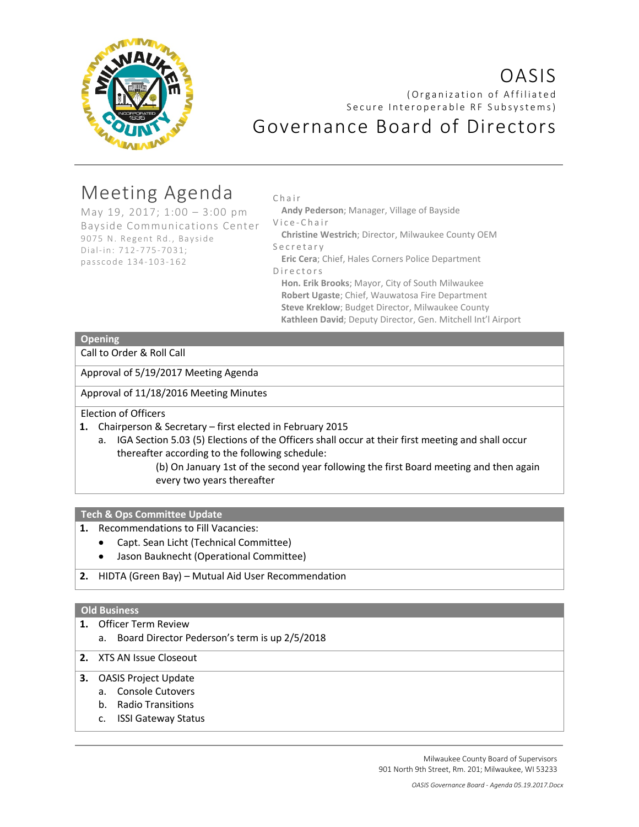

# OASIS (Organization of Affiliated Secure Interoperable RF Subsystems) Governance Board of Directors

# Meeting Agenda

May 19, 2017; 1:00 – 3:00 pm Bayside Communications Center 9075 N. Regent Rd., Bayside Dial-in: 712-775-7031; passcode 134-103-162

#### Chair

**Andy Pederson**; Manager, Village of Bayside Vice - Chair

**Christine Westrich**; Director, Milwaukee County OEM Secretary

**Eric Cera**; Chief, Hales Corners Police Department Directors

**Hon. Erik Brooks**; Mayor, City of South Milwaukee **Robert Ugaste**; Chief, Wauwatosa Fire Department **Steve Kreklow**; Budget Director, Milwaukee County **Kathleen David**; Deputy Director, Gen. Mitchell Int'l Airport

## **Opening**

Call to Order & Roll Call

Approval of 5/19/2017 Meeting Agenda

Approval of 11/18/2016 Meeting Minutes

Election of Officers

- **1.** Chairperson & Secretary first elected in February 2015
	- a. IGA Section 5.03 (5) Elections of the Officers shall occur at their first meeting and shall occur thereafter according to the following schedule:

(b) On January 1st of the second year following the first Board meeting and then again every two years thereafter

**Tech & Ops Committee Update**

- **1.** Recommendations to Fill Vacancies:
	- Capt. Sean Licht (Technical Committee)
	- Jason Bauknecht (Operational Committee)
- **2.** HIDTA (Green Bay) Mutual Aid User Recommendation

### **Old Business**

- **1.** Officer Term Review
	- a. Board Director Pederson's term is up 2/5/2018
- **2.** XTS AN Issue Closeout
- **3.** OASIS Project Update
	- a. Console Cutovers
	- b. Radio Transitions
	- c. ISSI Gateway Status

Milwaukee County Board of Supervisors 901 North 9th Street, Rm. 201; Milwaukee, WI 53233